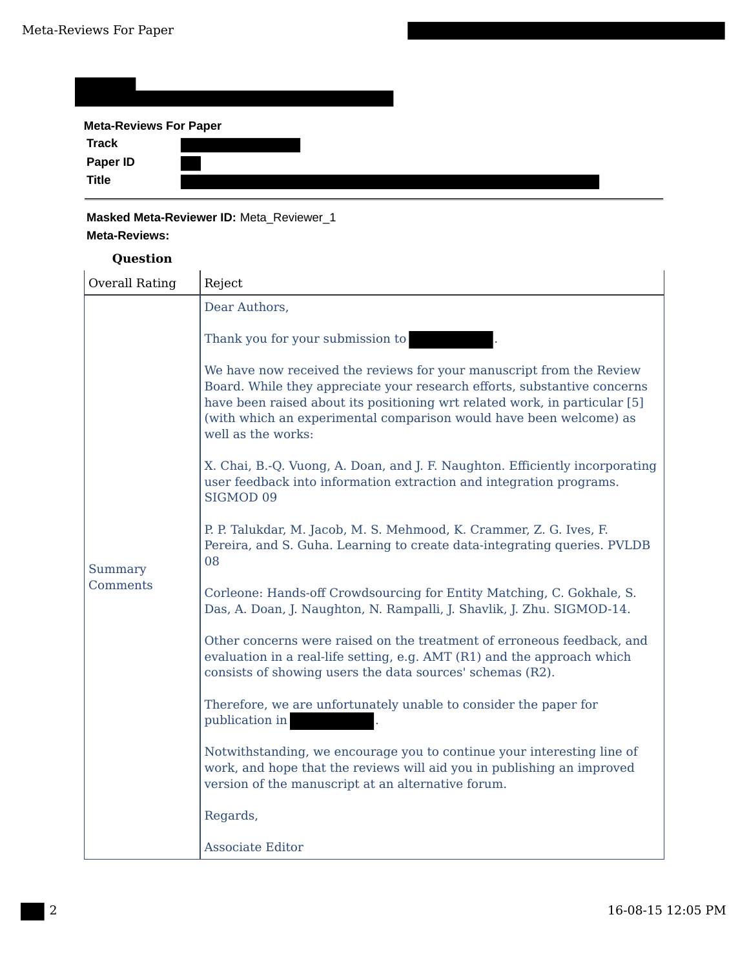| <b>Meta-Reviews For Paper</b> |  |
|-------------------------------|--|
|                               |  |
|                               |  |
|                               |  |
|                               |  |

## **Masked Meta-Reviewer ID:** Meta\_Reviewer\_1 **Meta-Reviews:**

| <b>Overall Rating</b> | Reject                                                                                                                                                                                                                                                                                                                     |
|-----------------------|----------------------------------------------------------------------------------------------------------------------------------------------------------------------------------------------------------------------------------------------------------------------------------------------------------------------------|
| Summary<br>Comments   | Dear Authors,                                                                                                                                                                                                                                                                                                              |
|                       | Thank you for your submission to                                                                                                                                                                                                                                                                                           |
|                       | We have now received the reviews for your manuscript from the Review<br>Board. While they appreciate your research efforts, substantive concerns<br>have been raised about its positioning wrt related work, in particular [5]<br>(with which an experimental comparison would have been welcome) as<br>well as the works: |
|                       | X. Chai, B.-Q. Vuong, A. Doan, and J. F. Naughton. Efficiently incorporating<br>user feedback into information extraction and integration programs.<br>SIGMOD <sub>09</sub>                                                                                                                                                |
|                       | P. P. Talukdar, M. Jacob, M. S. Mehmood, K. Crammer, Z. G. Ives, F.<br>Pereira, and S. Guha. Learning to create data-integrating queries. PVLDB<br>08                                                                                                                                                                      |
|                       | Corleone: Hands-off Crowdsourcing for Entity Matching, C. Gokhale, S.<br>Das, A. Doan, J. Naughton, N. Rampalli, J. Shavlik, J. Zhu. SIGMOD-14.                                                                                                                                                                            |
|                       | Other concerns were raised on the treatment of erroneous feedback, and<br>evaluation in a real-life setting, e.g. AMT (R1) and the approach which<br>consists of showing users the data sources' schemas (R2).                                                                                                             |
|                       | Therefore, we are unfortunately unable to consider the paper for<br>publication in                                                                                                                                                                                                                                         |
|                       | Notwithstanding, we encourage you to continue your interesting line of<br>work, and hope that the reviews will aid you in publishing an improved<br>version of the manuscript at an alternative forum.                                                                                                                     |
|                       | Regards,                                                                                                                                                                                                                                                                                                                   |
|                       | <b>Associate Editor</b>                                                                                                                                                                                                                                                                                                    |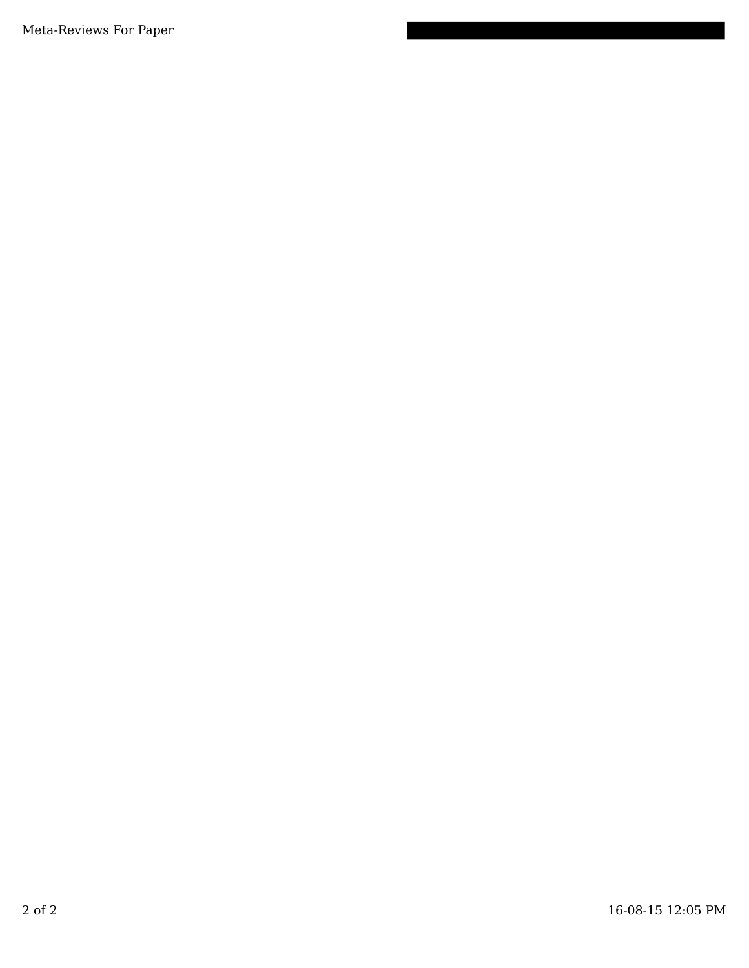Meta-Reviews For Paper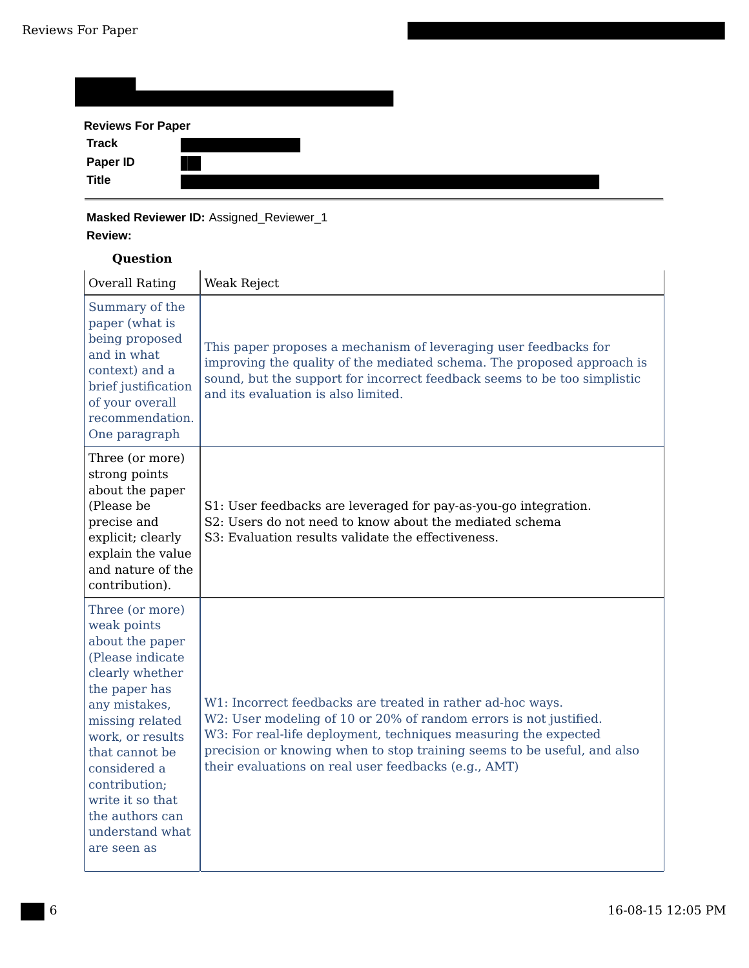| <b>Reviews For Paper</b> |  |
|--------------------------|--|
|                          |  |
|                          |  |
|                          |  |
|                          |  |

# **Masked Reviewer ID:** Assigned\_Reviewer\_1

**Review:**

| Overall Rating                                                                                                                                                                                                                                                                                | <b>Weak Reject</b>                                                                                                                                                                                                                                                                                                                    |
|-----------------------------------------------------------------------------------------------------------------------------------------------------------------------------------------------------------------------------------------------------------------------------------------------|---------------------------------------------------------------------------------------------------------------------------------------------------------------------------------------------------------------------------------------------------------------------------------------------------------------------------------------|
| Summary of the<br>paper (what is<br>being proposed<br>and in what<br>context) and a<br>brief justification<br>of your overall<br>recommendation.<br>One paragraph                                                                                                                             | This paper proposes a mechanism of leveraging user feedbacks for<br>improving the quality of the mediated schema. The proposed approach is<br>sound, but the support for incorrect feedback seems to be too simplistic<br>and its evaluation is also limited.                                                                         |
| Three (or more)<br>strong points<br>about the paper<br>(Please be<br>precise and<br>explicit; clearly<br>explain the value<br>and nature of the<br>contribution).                                                                                                                             | S1: User feedbacks are leveraged for pay-as-you-go integration.<br>S2: Users do not need to know about the mediated schema<br>S3: Evaluation results validate the effectiveness.                                                                                                                                                      |
| Three (or more)<br>weak points<br>about the paper<br>(Please indicate<br>clearly whether<br>the paper has<br>any mistakes,<br>missing related<br>work, or results<br>that cannot be<br>considered a<br>contribution;<br>write it so that<br>the authors can<br>understand what<br>are seen as | W1: Incorrect feedbacks are treated in rather ad-hoc ways.<br>W2: User modeling of 10 or 20% of random errors is not justified.<br>W3: For real-life deployment, techniques measuring the expected<br>precision or knowing when to stop training seems to be useful, and also<br>their evaluations on real user feedbacks (e.g., AMT) |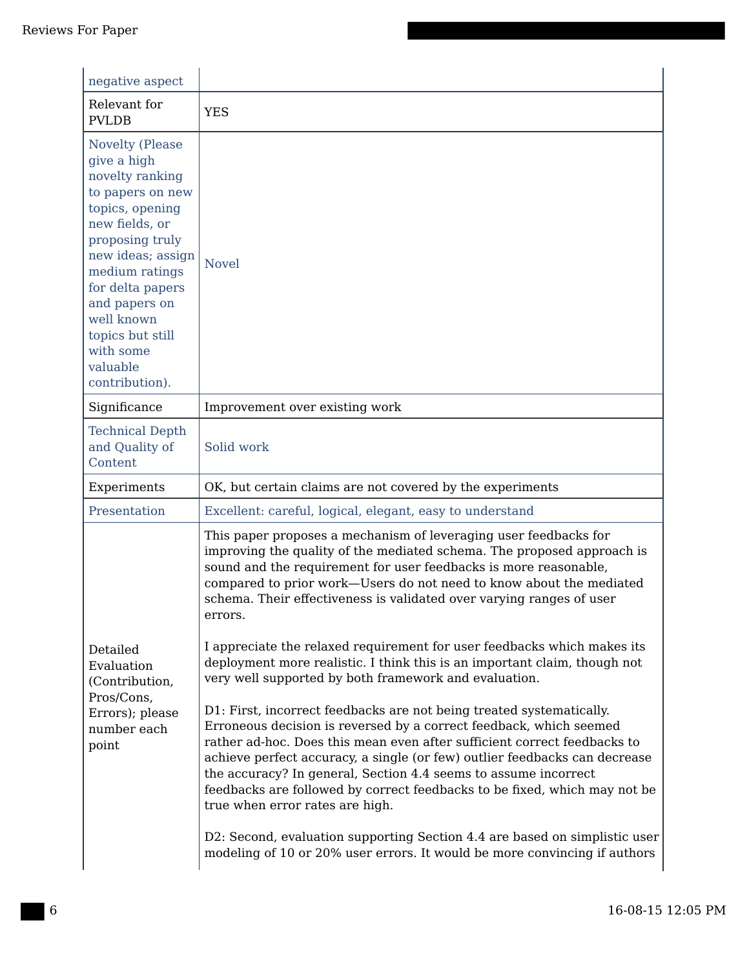| negative aspect                                                                                                                                                                                                                                                                                |                                                                                                                                                                                                                                                                                                                                                                                                                                                                                                                                                                                                                                                                                                                                                                                                                                                                                                                                                                                                                                                                                                                                                                                                                                                 |
|------------------------------------------------------------------------------------------------------------------------------------------------------------------------------------------------------------------------------------------------------------------------------------------------|-------------------------------------------------------------------------------------------------------------------------------------------------------------------------------------------------------------------------------------------------------------------------------------------------------------------------------------------------------------------------------------------------------------------------------------------------------------------------------------------------------------------------------------------------------------------------------------------------------------------------------------------------------------------------------------------------------------------------------------------------------------------------------------------------------------------------------------------------------------------------------------------------------------------------------------------------------------------------------------------------------------------------------------------------------------------------------------------------------------------------------------------------------------------------------------------------------------------------------------------------|
| Relevant for<br><b>PVLDB</b>                                                                                                                                                                                                                                                                   | <b>YES</b>                                                                                                                                                                                                                                                                                                                                                                                                                                                                                                                                                                                                                                                                                                                                                                                                                                                                                                                                                                                                                                                                                                                                                                                                                                      |
| <b>Novelty (Please)</b><br>give a high<br>novelty ranking<br>to papers on new<br>topics, opening<br>new fields, or<br>proposing truly<br>new ideas; assign<br>medium ratings<br>for delta papers<br>and papers on<br>well known<br>topics but still<br>with some<br>valuable<br>contribution). | <b>Novel</b>                                                                                                                                                                                                                                                                                                                                                                                                                                                                                                                                                                                                                                                                                                                                                                                                                                                                                                                                                                                                                                                                                                                                                                                                                                    |
| Significance                                                                                                                                                                                                                                                                                   | Improvement over existing work                                                                                                                                                                                                                                                                                                                                                                                                                                                                                                                                                                                                                                                                                                                                                                                                                                                                                                                                                                                                                                                                                                                                                                                                                  |
| <b>Technical Depth</b><br>and Quality of<br>Content                                                                                                                                                                                                                                            | Solid work                                                                                                                                                                                                                                                                                                                                                                                                                                                                                                                                                                                                                                                                                                                                                                                                                                                                                                                                                                                                                                                                                                                                                                                                                                      |
| Experiments                                                                                                                                                                                                                                                                                    | OK, but certain claims are not covered by the experiments                                                                                                                                                                                                                                                                                                                                                                                                                                                                                                                                                                                                                                                                                                                                                                                                                                                                                                                                                                                                                                                                                                                                                                                       |
| Presentation                                                                                                                                                                                                                                                                                   | Excellent: careful, logical, elegant, easy to understand                                                                                                                                                                                                                                                                                                                                                                                                                                                                                                                                                                                                                                                                                                                                                                                                                                                                                                                                                                                                                                                                                                                                                                                        |
| Detailed<br>Evaluation<br>(Contribution,<br>Pros/Cons,<br>Errors); please<br>number each<br>point                                                                                                                                                                                              | This paper proposes a mechanism of leveraging user feedbacks for<br>improving the quality of the mediated schema. The proposed approach is<br>sound and the requirement for user feedbacks is more reasonable,<br>compared to prior work-Users do not need to know about the mediated<br>schema. Their effectiveness is validated over varying ranges of user<br>errors.<br>I appreciate the relaxed requirement for user feedbacks which makes its<br>deployment more realistic. I think this is an important claim, though not<br>very well supported by both framework and evaluation.<br>D1: First, incorrect feedbacks are not being treated systematically.<br>Erroneous decision is reversed by a correct feedback, which seemed<br>rather ad-hoc. Does this mean even after sufficient correct feedbacks to<br>achieve perfect accuracy, a single (or few) outlier feedbacks can decrease<br>the accuracy? In general, Section 4.4 seems to assume incorrect<br>feedbacks are followed by correct feedbacks to be fixed, which may not be<br>true when error rates are high.<br>D2: Second, evaluation supporting Section 4.4 are based on simplistic user<br>modeling of 10 or 20% user errors. It would be more convincing if authors |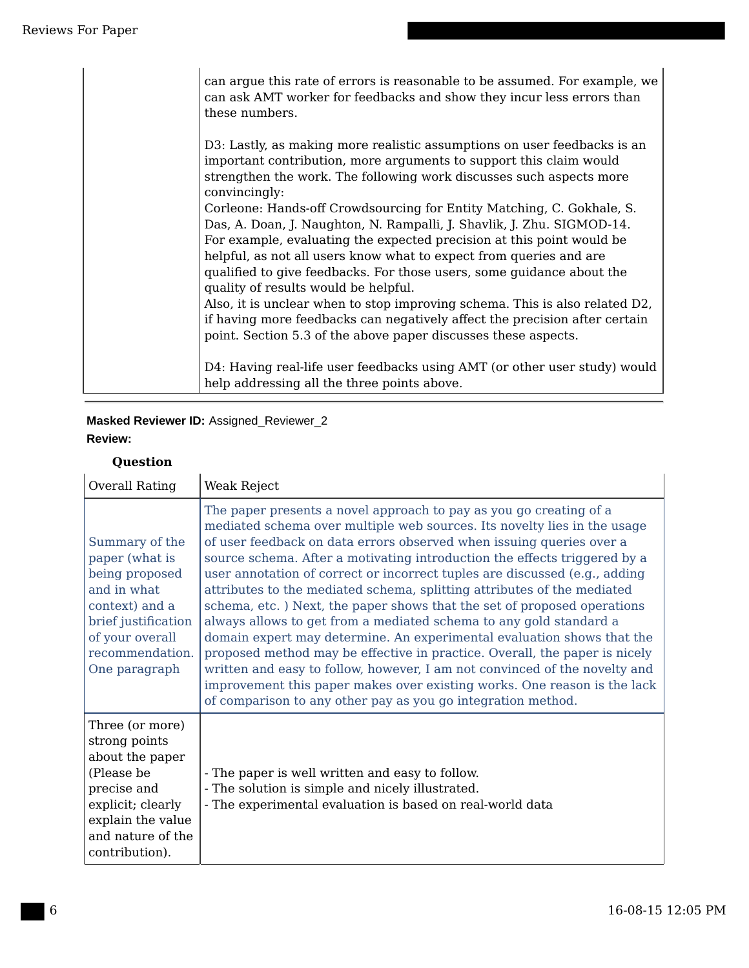| can argue this rate of errors is reasonable to be assumed. For example, we<br>can ask AMT worker for feedbacks and show they incur less errors than<br>these numbers.                                                                                                                                                                                                                                           |
|-----------------------------------------------------------------------------------------------------------------------------------------------------------------------------------------------------------------------------------------------------------------------------------------------------------------------------------------------------------------------------------------------------------------|
| D3: Lastly, as making more realistic assumptions on user feedbacks is an<br>important contribution, more arguments to support this claim would<br>strengthen the work. The following work discusses such aspects more<br>convincingly:                                                                                                                                                                          |
| Corleone: Hands-off Crowdsourcing for Entity Matching, C. Gokhale, S.<br>Das, A. Doan, J. Naughton, N. Rampalli, J. Shavlik, J. Zhu. SIGMOD-14.<br>For example, evaluating the expected precision at this point would be<br>helpful, as not all users know what to expect from queries and are<br>qualified to give feedbacks. For those users, some guidance about the<br>quality of results would be helpful. |
| Also, it is unclear when to stop improving schema. This is also related D2,<br>if having more feedbacks can negatively affect the precision after certain<br>point. Section 5.3 of the above paper discusses these aspects.                                                                                                                                                                                     |
| D4: Having real-life user feedbacks using AMT (or other user study) would<br>help addressing all the three points above.                                                                                                                                                                                                                                                                                        |

## **Masked Reviewer ID:** Assigned\_Reviewer\_2 **Review:**

| Overall Rating                                                                                                                                                    | Weak Reject                                                                                                                                                                                                                                                                                                                                                                                                                                                                                                                                                                                                                                                                                                                                                                                                                                                                                                                                                                                     |
|-------------------------------------------------------------------------------------------------------------------------------------------------------------------|-------------------------------------------------------------------------------------------------------------------------------------------------------------------------------------------------------------------------------------------------------------------------------------------------------------------------------------------------------------------------------------------------------------------------------------------------------------------------------------------------------------------------------------------------------------------------------------------------------------------------------------------------------------------------------------------------------------------------------------------------------------------------------------------------------------------------------------------------------------------------------------------------------------------------------------------------------------------------------------------------|
| Summary of the<br>paper (what is<br>being proposed<br>and in what<br>context) and a<br>brief justification<br>of your overall<br>recommendation.<br>One paragraph | The paper presents a novel approach to pay as you go creating of a<br>mediated schema over multiple web sources. Its novelty lies in the usage<br>of user feedback on data errors observed when issuing queries over a<br>source schema. After a motivating introduction the effects triggered by a<br>user annotation of correct or incorrect tuples are discussed (e.g., adding<br>attributes to the mediated schema, splitting attributes of the mediated<br>schema, etc.) Next, the paper shows that the set of proposed operations<br>always allows to get from a mediated schema to any gold standard a<br>domain expert may determine. An experimental evaluation shows that the<br>proposed method may be effective in practice. Overall, the paper is nicely<br>written and easy to follow, however, I am not convinced of the novelty and<br>improvement this paper makes over existing works. One reason is the lack<br>of comparison to any other pay as you go integration method. |
| Three (or more)<br>strong points<br>about the paper<br>(Please be<br>precise and<br>explicit; clearly<br>explain the value<br>and nature of the<br>contribution). | - The paper is well written and easy to follow.<br>- The solution is simple and nicely illustrated.<br>- The experimental evaluation is based on real-world data                                                                                                                                                                                                                                                                                                                                                                                                                                                                                                                                                                                                                                                                                                                                                                                                                                |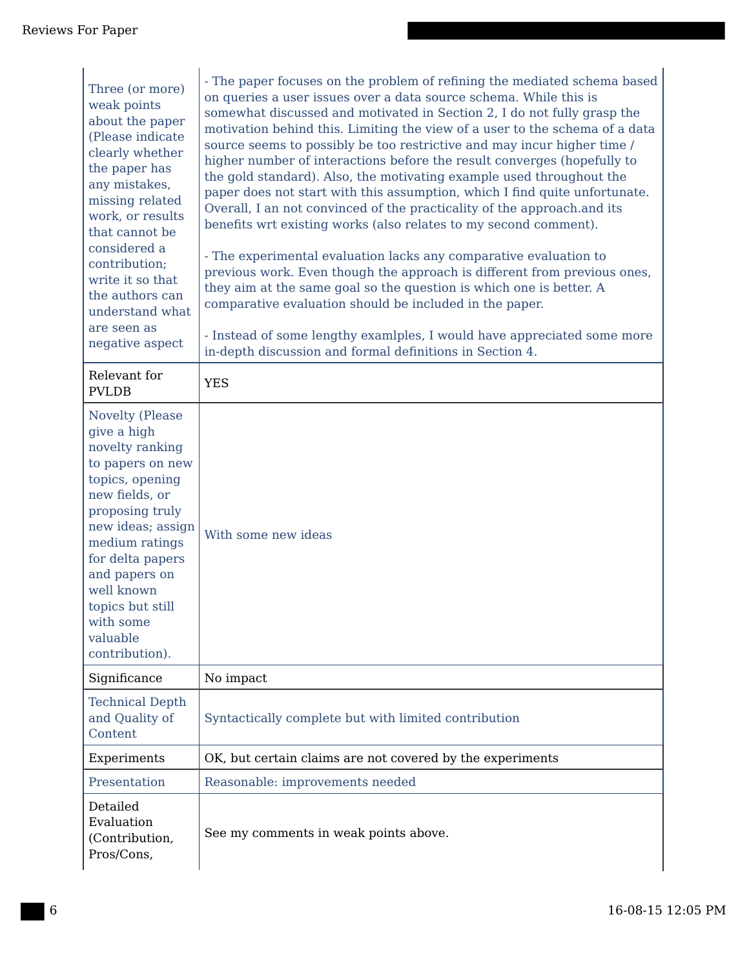| Three (or more)<br>weak points<br>about the paper<br>(Please indicate<br>clearly whether<br>the paper has<br>any mistakes,<br>missing related<br>work, or results<br>that cannot be<br>considered a                                                                                            | - The paper focuses on the problem of refining the mediated schema based<br>on queries a user issues over a data source schema. While this is<br>somewhat discussed and motivated in Section 2, I do not fully grasp the<br>motivation behind this. Limiting the view of a user to the schema of a data<br>source seems to possibly be too restrictive and may incur higher time /<br>higher number of interactions before the result converges (hopefully to<br>the gold standard). Also, the motivating example used throughout the<br>paper does not start with this assumption, which I find quite unfortunate.<br>Overall, I an not convinced of the practicality of the approach.and its<br>benefits wrt existing works (also relates to my second comment). |
|------------------------------------------------------------------------------------------------------------------------------------------------------------------------------------------------------------------------------------------------------------------------------------------------|--------------------------------------------------------------------------------------------------------------------------------------------------------------------------------------------------------------------------------------------------------------------------------------------------------------------------------------------------------------------------------------------------------------------------------------------------------------------------------------------------------------------------------------------------------------------------------------------------------------------------------------------------------------------------------------------------------------------------------------------------------------------|
| contribution;<br>write it so that<br>the authors can<br>understand what                                                                                                                                                                                                                        | - The experimental evaluation lacks any comparative evaluation to<br>previous work. Even though the approach is different from previous ones,<br>they aim at the same goal so the question is which one is better. A<br>comparative evaluation should be included in the paper.                                                                                                                                                                                                                                                                                                                                                                                                                                                                                    |
| are seen as<br>negative aspect                                                                                                                                                                                                                                                                 | - Instead of some lengthy examiples, I would have appreciated some more<br>in-depth discussion and formal definitions in Section 4.                                                                                                                                                                                                                                                                                                                                                                                                                                                                                                                                                                                                                                |
| Relevant for<br><b>PVLDB</b>                                                                                                                                                                                                                                                                   | <b>YES</b>                                                                                                                                                                                                                                                                                                                                                                                                                                                                                                                                                                                                                                                                                                                                                         |
| <b>Novelty (Please)</b><br>give a high<br>novelty ranking<br>to papers on new<br>topics, opening<br>new fields, or<br>proposing truly<br>new ideas; assign<br>medium ratings<br>for delta papers<br>and papers on<br>well known<br>topics but still<br>with some<br>valuable<br>contribution). | With some new ideas                                                                                                                                                                                                                                                                                                                                                                                                                                                                                                                                                                                                                                                                                                                                                |
| Significance                                                                                                                                                                                                                                                                                   | No impact                                                                                                                                                                                                                                                                                                                                                                                                                                                                                                                                                                                                                                                                                                                                                          |
| <b>Technical Depth</b><br>and Quality of<br>Content                                                                                                                                                                                                                                            | Syntactically complete but with limited contribution                                                                                                                                                                                                                                                                                                                                                                                                                                                                                                                                                                                                                                                                                                               |
| Experiments                                                                                                                                                                                                                                                                                    | OK, but certain claims are not covered by the experiments                                                                                                                                                                                                                                                                                                                                                                                                                                                                                                                                                                                                                                                                                                          |
| Presentation                                                                                                                                                                                                                                                                                   | Reasonable: improvements needed                                                                                                                                                                                                                                                                                                                                                                                                                                                                                                                                                                                                                                                                                                                                    |
| Detailed<br>Evaluation<br>(Contribution,<br>Pros/Cons,                                                                                                                                                                                                                                         | See my comments in weak points above.                                                                                                                                                                                                                                                                                                                                                                                                                                                                                                                                                                                                                                                                                                                              |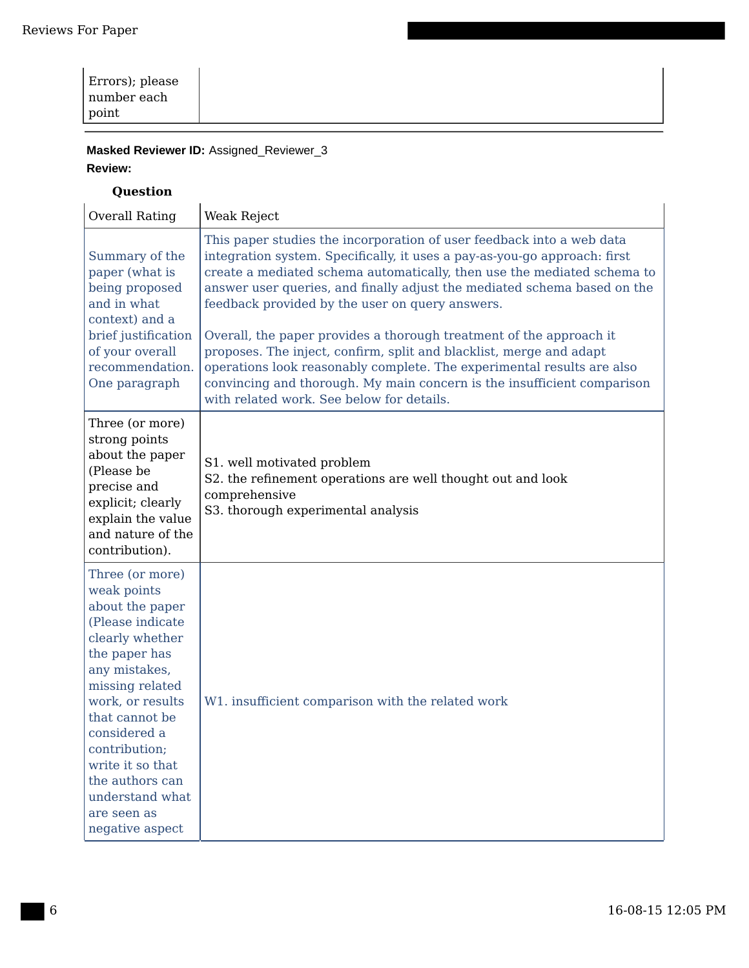| Errors); please |  |  |  |
|-----------------|--|--|--|
| number each     |  |  |  |
| point           |  |  |  |

### **Masked Reviewer ID:** Assigned\_Reviewer\_3 **Review:**

| <b>Overall Rating</b>                                                                                                                                                                                                                                                                                            | Weak Reject                                                                                                                                                                                                                                                                                                                                                                                                                                                                                                                                                                                                                                                     |
|------------------------------------------------------------------------------------------------------------------------------------------------------------------------------------------------------------------------------------------------------------------------------------------------------------------|-----------------------------------------------------------------------------------------------------------------------------------------------------------------------------------------------------------------------------------------------------------------------------------------------------------------------------------------------------------------------------------------------------------------------------------------------------------------------------------------------------------------------------------------------------------------------------------------------------------------------------------------------------------------|
| Summary of the<br>paper (what is<br>being proposed<br>and in what<br>context) and a<br>brief justification<br>of your overall<br>recommendation.<br>One paragraph                                                                                                                                                | This paper studies the incorporation of user feedback into a web data<br>integration system. Specifically, it uses a pay-as-you-go approach: first<br>create a mediated schema automatically, then use the mediated schema to<br>answer user queries, and finally adjust the mediated schema based on the<br>feedback provided by the user on query answers.<br>Overall, the paper provides a thorough treatment of the approach it<br>proposes. The inject, confirm, split and blacklist, merge and adapt<br>operations look reasonably complete. The experimental results are also<br>convincing and thorough. My main concern is the insufficient comparison |
| Three (or more)<br>strong points<br>about the paper<br>(Please be<br>precise and<br>explicit; clearly<br>explain the value<br>and nature of the<br>contribution).                                                                                                                                                | with related work. See below for details.<br>S1. well motivated problem<br>S2. the refinement operations are well thought out and look<br>comprehensive<br>S3. thorough experimental analysis                                                                                                                                                                                                                                                                                                                                                                                                                                                                   |
| Three (or more)<br>weak points<br>about the paper<br>(Please indicate<br>clearly whether<br>the paper has<br>any mistakes,<br>missing related<br>work, or results<br>that cannot be<br>considered a<br>contribution;<br>write it so that<br>the authors can<br>understand what<br>are seen as<br>negative aspect | W1. insufficient comparison with the related work                                                                                                                                                                                                                                                                                                                                                                                                                                                                                                                                                                                                               |